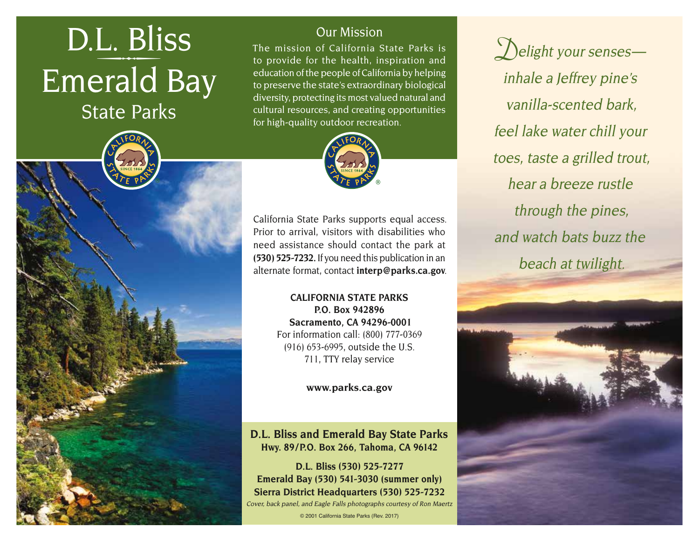# **Emerald Bay** <u>L. Bliss</u><br>Cur Mission<br>to provide for the health, instead of California Stoppovide for the health, instead of California Density<br>education of the people of California

State Parks

The mission of California State Parks is to provide for the health, inspiration and education of the people of California by helping to preserve the state's extraordinary biological diversity, protecting its most valued natural and cultural resources, and creating opportunities for high-quality outdoor recreation.



California State Parks supports equal access. Prior to arrival, visitors with disabilities who need assistance should contact the park at **(530) 525-7232.** If you need this publication in an alternate format, contact **[interp@parks.ca.gov](maito:interp@parks.ca.gov.)**.

> **CALIFORNIA STATE PARKS P.O. Box 942896 Sacramento, CA 94296-0001**  For information call: (800) 777-0369 (916) 653-6995, outside the U.S. 711, TTY relay service

> > **[www.parks.ca.gov](http://www.parks.ca.gov)**

### **D.L. Bliss and Emerald Bay State Parks Hwy. 89/P.O. Box 266, Tahoma, CA 96142**

**D.L. Bliss (530) 525-7277 Emerald Bay (530) 541-3030 (summer only) Sierra District Headquarters (530) 525-7232**  Cover, back panel, and Eagle Falls photographs courtesy of Ron Maertz

© 2001 California State Parks (Rev. 2017)

**D**elight your senses inhale a Jeffrey pine's vanilla-scented bark, feel lake water chill your toes, taste a grilled trout, hear a breeze rustle through the pines, and watch bats buzz the beach at twilight.

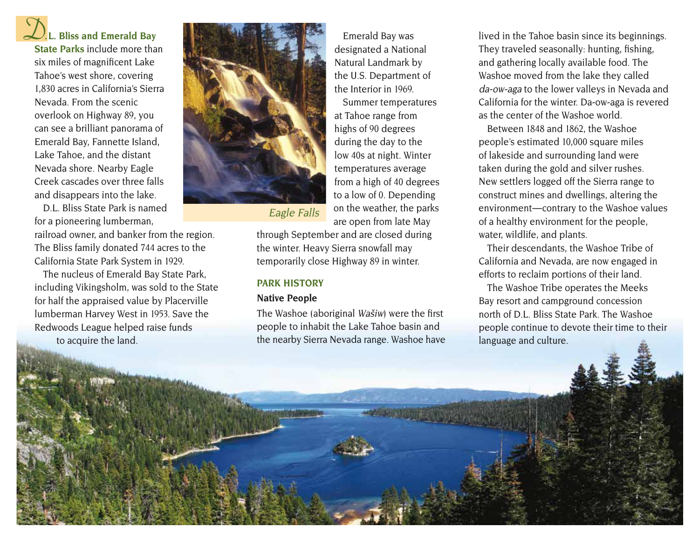**D.L. Bliss and Emerald Bay State Parks** include more than six miles of magnificent Lake Tahoe's west shore, covering 1,830 acres in California's Sierra Nevada. From the scenic overlook on Highway 89, you can see a brilliant panorama of Emerald Bay, Fannette Island, Lake Tahoe, and the distant Nevada shore. Nearby Eagle Creek cascades over three falls and disappears into the lake.

D.L. Bliss State Park is named for a pioneering lumberman,

railroad owner, and banker from the region. The Bliss family donated 744 acres to the California State Park System in 1929.

Redwoods League helped raise funds to acquire the land. The nucleus of Emerald Bay State Park, including Vikingsholm, was sold to the State for half the appraised value by Placerville lumberman Harvey West in 1953. Save the



Emerald Bay was designated a National Natural Landmark by the U.S. Department of the Interior in 1969.

Summer temperatures at Tahoe range from highs of 90 degrees during the day to the low 40s at night. Winter temperatures average from a high of 40 degrees to a low of 0. Depending on the weather, the parks are open from late May

Eagle Falls

through September and are closed during the winter. Heavy Sierra snowfall may temporarily close Highway 89 in winter.

#### **PARK HISTORY**

#### **Native People**

people to inhabit the Lake Tahoe basin and the nearby Sierra Nevada range. Washoe have The Washoe (aboriginal Wašiw) were the first

lived in the Tahoe basin since its beginnings. They traveled seasonally: hunting, fishing, and gathering locally available food. The Washoe moved from the lake they called da-ow-aga to the lower valleys in Nevada and California for the winter. Da-ow-aga is revered as the center of the Washoe world.

 environment—contrary to the Washoe values Between 1848 and 1862, the Washoe people's estimated 10,000 square miles of lakeside and surrounding land were taken during the gold and silver rushes. New settlers logged off the Sierra range to construct mines and dwellings, altering the of a healthy environment for the people, water, wildlife, and plants.

Their descendants, the Washoe Tribe of California and Nevada, are now engaged in efforts to reclaim portions of their land.

The Washoe Tribe operates the Meeks Bay resort and campground concession north of D.L. Bliss State Park. The Washoe people continue to devote their time to their language and culture.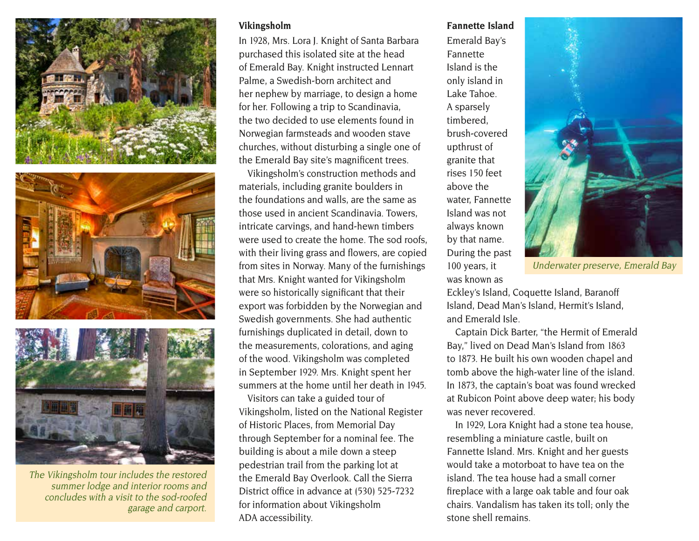





The Vikingsholm tour includes the restored summer lodge and interior rooms and concludes with a visit to the sod-roofed garage and carport.

#### **Vikingsholm**

In 1928, Mrs. Lora J. Knight of Santa Barbara purchased this isolated site at the head of Emerald Bay. Knight instructed Lennart Palme, a Swedish-born architect and her nephew by marriage, to design a home for her. Following a trip to Scandinavia, the two decided to use elements found in Norwegian farmsteads and wooden stave churches, without disturbing a single one of the Emerald Bay site's magnificent trees.

Vikingsholm's construction methods and materials, including granite boulders in the foundations and walls, are the same as those used in ancient Scandinavia. Towers, intricate carvings, and hand-hewn timbers were used to create the home. The sod roofs, with their living grass and flowers, are copied from sites in Norway. Many of the furnishings that Mrs. Knight wanted for Vikingsholm were so historically significant that their export was forbidden by the Norwegian and Swedish governments. She had authentic furnishings duplicated in detail, down to the measurements, colorations, and aging of the wood. Vikingsholm was completed in September 1929. Mrs. Knight spent her summers at the home until her death in 1945.

Visitors can take a guided tour of Vikingsholm, listed on the National Register of Historic Places, from Memorial Day through September for a nominal fee. The building is about a mile down a steep pedestrian trail from the parking lot at the Emerald Bay Overlook. Call the Sierra District office in advance at (530) 525-7232 for information about Vikingsholm ADA accessibility.

#### **Fannette Island**

Emerald Bay's Fannette Island is the only island in Lake Tahoe. A sparsely timbered, brush-covered upthrust of granite that rises 150 feet above the water, Fannette Island was not always known by that name. During the past 100 years, it was known as



Underwater preserve, Emerald Bay

Eckley's Island, Coquette Island, Baranoff Island, Dead Man's Island, Hermit's Island, and Emerald Isle.

Captain Dick Barter, "the Hermit of Emerald Bay," lived on Dead Man's Island from 1863 to 1873. He built his own wooden chapel and tomb above the high-water line of the island. In 1873, the captain's boat was found wrecked at Rubicon Point above deep water; his body was never recovered.

In 1929, Lora Knight had a stone tea house, resembling a miniature castle, built on Fannette Island. Mrs. Knight and her guests would take a motorboat to have tea on the island. The tea house had a small corner fireplace with a large oak table and four oak chairs. Vandalism has taken its toll; only the stone shell remains.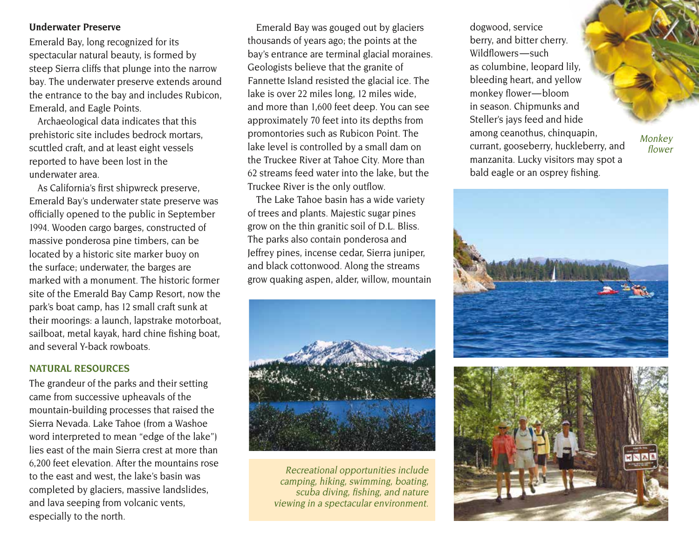#### **Underwater Preserve**

Emerald Bay, long recognized for its spectacular natural beauty, is formed by steep Sierra cliffs that plunge into the narrow bay. The underwater preserve extends around the entrance to the bay and includes Rubicon, Emerald, and Eagle Points.

Archaeological data indicates that this prehistoric site includes bedrock mortars, scuttled craft, and at least eight vessels reported to have been lost in the underwater area.

As California's first shipwreck preserve, Emerald Bay's underwater state preserve was officially opened to the public in September 1994. Wooden cargo barges, constructed of massive ponderosa pine timbers, can be located by a historic site marker buoy on the surface; underwater, the barges are marked with a monument. The historic former site of the Emerald Bay Camp Resort, now the park's boat camp, has 12 small craft sunk at their moorings: a launch, lapstrake motorboat, sailboat, metal kayak, hard chine fishing boat, and several Y-back rowboats.

#### **NATURAL RESOURCES**

The grandeur of the parks and their setting came from successive upheavals of the mountain-building processes that raised the Sierra Nevada. Lake Tahoe (from a Washoe word interpreted to mean "edge of the lake") lies east of the main Sierra crest at more than 6,200 feet elevation. After the mountains rose to the east and west, the lake's basin was completed by glaciers, massive landslides, and lava seeping from volcanic vents, especially to the north.

Emerald Bay was gouged out by glaciers thousands of years ago; the points at the bay's entrance are terminal glacial moraines. Geologists believe that the granite of Fannette Island resisted the glacial ice. The lake is over 22 miles long, 12 miles wide, and more than 1,600 feet deep. You can see approximately 70 feet into its depths from promontories such as Rubicon Point. The lake level is controlled by a small dam on the Truckee River at Tahoe City. More than 62 streams feed water into the lake, but the Truckee River is the only outflow.

The Lake Tahoe basin has a wide variety of trees and plants. Majestic sugar pines grow on the thin granitic soil of D.L. Bliss. The parks also contain ponderosa and Jeffrey pines, incense cedar, Sierra juniper, and black cottonwood. Along the streams grow quaking aspen, alder, willow, mountain



Recreational opportunities include camping, hiking, swimming, boating, scuba diving, fishing, and nature viewing in a spectacular environment.

dogwood, service berry, and bitter cherry. Wildflowers — such as columbine, leopard lily, bleeding heart, and yellow monkey flower — bloom in season. Chipmunks and Steller's jays feed and hide among ceanothus, chinquapin, currant, gooseberry, huckleberry, and manzanita. Lucky visitors may spot a bald eagle or an osprey fishing.

Monkey flower

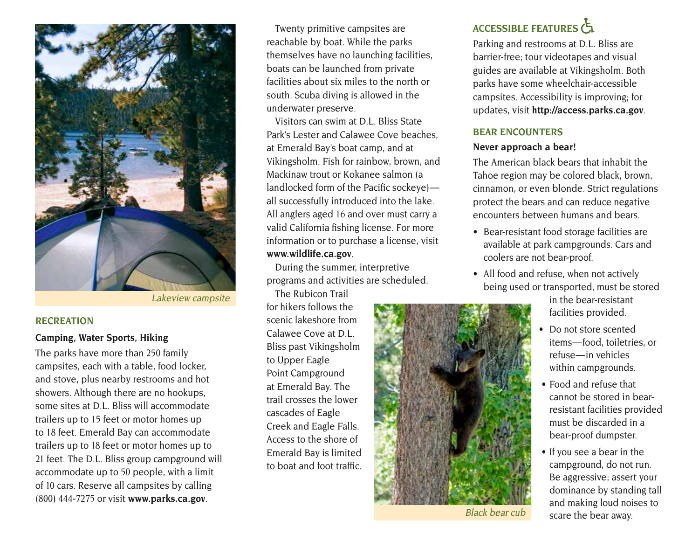

Lakeview campsite

#### **RECREATION**

#### **Camping, Water Sports, Hiking**

The parks have more than 250 family campsites, each with a table, food locker, and stove, plus nearby restrooms and hot showers. Although there are no hookups, some sites at D.L. Bliss will accommodate trailers up to 15 feet or motor homes up to 18 feet. Emerald Bay can accommodate trailers up to 18 feet or motor homes up to 21 feet. The D.L. Bliss group campground will accommodate up to 50 people, with a limit of 10 cars. Reserve all campsites by calling (800) 444-7275 or visit **[www.parks.ca.gov](http://www.parks.ca.gov)**.

Twenty primitive campsites are reachable by boat. While the parks themselves have no launching facilities, boats can be launched from private facilities about six miles to the north or south. Scuba diving is allowed in the underwater preserve.

Visitors can swim at D.L. Bliss State Park's Lester and Calawee Cove beaches, at Emerald Bay's boat camp, and at Vikingsholm. Fish for rainbow, brown, and Mackinaw trout or Kokanee salmon (a landlocked form of the Pacific sockeye) all successfully introduced into the lake. All anglers aged 16 and over must carry a valid California fishing license. For more information or to purchase a license, visit **[www.wildlife.ca.gov](http://www.wildlife.ca.gov.)**.

During the summer, interpretive programs and activities are scheduled.

The Rubicon Trail for hikers follows the scenic lakeshore from Calawee Cove at D.L. Bliss past Vikingsholm to Upper Eagle Point Campground at Emerald Bay. The trail crosses the lower cascades of Eagle Creek and Eagle Falls. Access to the shore of Emerald Bay is limited to boat and foot traffic.



Black bear cub

## **ACCESSIBLE FEATURES**

Parking and restrooms at D.L. Bliss are barrier-free; tour videotapes and visual guides are available at Vikingsholm. Both parks have some wheelchair-accessible campsites. Accessibility is improving; for updates, visit **<http://access.parks.ca.gov>**.

#### **BEAR ENCOUNTERS**

#### **Never approach a bear!**

The American black bears that inhabit the Tahoe region may be colored black, brown, cinnamon, or even blonde. Strict regulations protect the bears and can reduce negative encounters between humans and bears.

- Bear-resistant food storage facilities are available at park campgrounds. Cars and coolers are not bear-proof.
- All food and refuse, when not actively being used or transported, must be stored

in the bear-resistant facilities provided.

- Do not store scented items — food, toiletries, or refuse — in vehicles within campgrounds.
- Food and refuse that cannot be stored in bearresistant facilities provided must be discarded in a bear-proof dumpster.
- If you see a bear in the campground, do not run. Be aggressive; assert your dominance by standing tall and making loud noises to scare the bear away.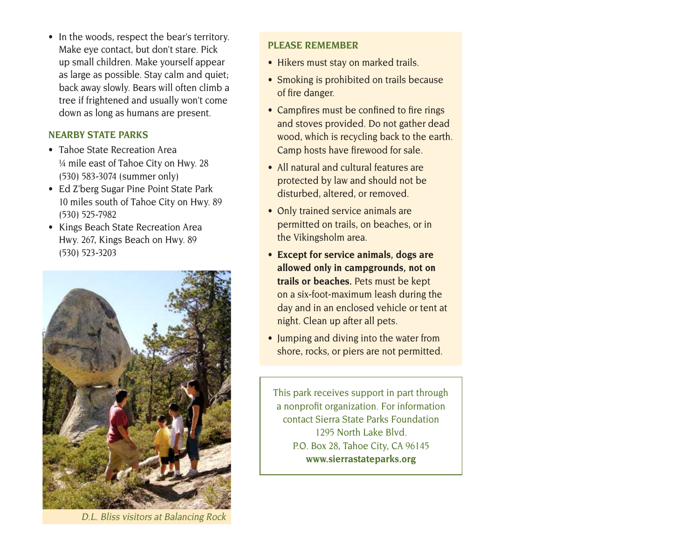• In the woods, respect the bear's territory. Make eye contact, but don't stare. Pick up small children. Make yourself appear as large as possible. Stay calm and quiet; back away slowly. Bears will often climb a tree if frightened and usually won't come down as long as humans are present.

#### **NEARBY STATE PARKS**

- Tahoe State Recreation Area ¼ mile east of Tahoe City on Hwy. 28 (530) 583-3074 (summer only)
- Ed Z'berg Sugar Pine Point State Park 10 miles south of Tahoe City on Hwy. 89 (530) 525-7982
- Kings Beach State Recreation Area Hwy. 267, Kings Beach on Hwy. 89 (530) 523-3203



D.L. Bliss visitors at Balancing Rock

#### **PLEASE REMEMBER**

- Hikers must stay on marked trails.
- Smoking is prohibited on trails because of fire danger.
- Campfires must be confined to fire rings and stoves provided. Do not gather dead wood, which is recycling back to the earth. Camp hosts have firewood for sale.
- All natural and cultural features are protected by law and should not be disturbed, altered, or removed.
- Only trained service animals are permitted on trails, on beaches, or in the Vikingsholm area.
- **Except for service animals, dogs are allowed only in campgrounds, not on trails or beaches.** Pets must be kept on a six-foot-maximum leash during the day and in an enclosed vehicle or tent at night. Clean up after all pets.
- Jumping and diving into the water from shore, rocks, or piers are not permitted.

This park receives support in part through a nonprofit organization. For information contact Sierra State Parks Foundation 1295 North Lake Blvd. P.O. Box 28, Tahoe City, CA 96145 **[www.sierrastateparks.org](http://www.sierrastateparks.org)**